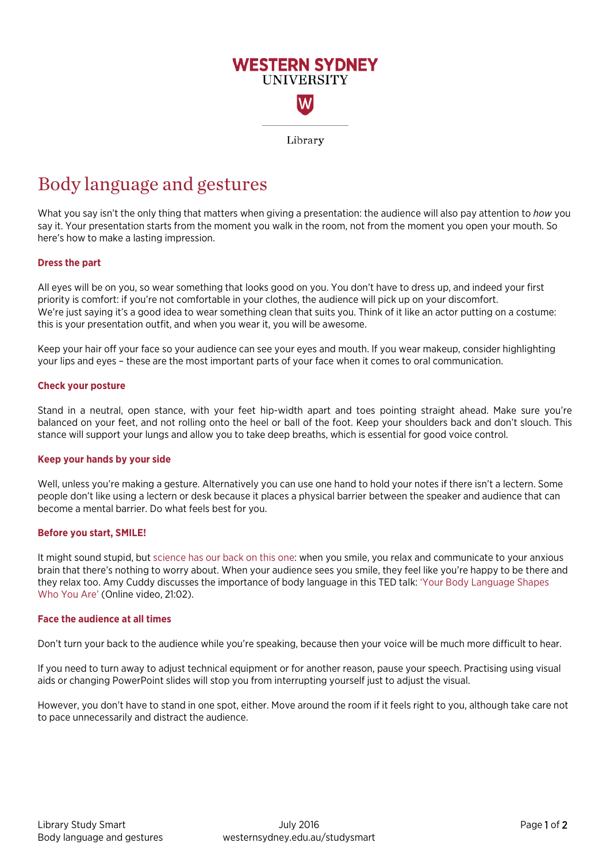

# Body language and gestures

What you say isn't the only thing that matters when giving a presentation: the audience will also pay attention to *how* you say it. Your presentation starts from the moment you walk in the room, not from the moment you open your mouth. So here's how to make a lasting impression.

## **Dress the part**

All eyes will be on you, so wear something that looks good on you. You don't have to dress up, and indeed your first priority is comfort: if you're not comfortable in your clothes, the audience will pick up on your discomfort. We're just saying it's a good idea to wear something clean that suits you. Think of it like an actor putting on a costume: this is your presentation outfit, and when you wear it, you will be awesome.

Keep your hair off your face so your audience can see your eyes and mouth. If you wear makeup, consider highlighting your lips and eyes – these are the most important parts of your face when it comes to oral communication.

## **Check your posture**

Stand in a neutral, open stance, with your feet hip-width apart and toes pointing straight ahead. Make sure you're balanced on your feet, and not rolling onto the heel or ball of the foot. Keep your shoulders back and don't slouch. This stance will support your lungs and allow you to take deep breaths, which is essential for good voice control.

## **Keep your hands by your side**

Well, unless you're making a gesture. Alternatively you can use one hand to hold your notes if there isn't a lectern. Some people don't like using a lectern or desk because it places a physical barrier between the speaker and audience that can become a mental barrier. Do what feels best for you.

## **Before you start, SMILE!**

It might sound stupid, bu[t science has our back on this one:](http://www.theatlantic.com/health/archive/2012/07/study-forcing-a-smile-genuinely-decreases-stress/260513/) when you smile, you relax and communicate to your anxious brain that there's nothing to worry about. When your audience sees you smile, they feel like you're happy to be there and they relax too. Amy Cuddy discusses the importance of body language in this TED talk: ['Your Body Language Shapes](https://www.youtube.com/watch?v=Ks-_Mh1QhMc)  [Who You Are'](https://www.youtube.com/watch?v=Ks-_Mh1QhMc) (Online video, 21:02).

#### **Face the audience at all times**

Don't turn your back to the audience while you're speaking, because then your voice will be much more difficult to hear.

If you need to turn away to adjust technical equipment or for another reason, pause your speech. Practising using visual aids or changing PowerPoint slides will stop you from interrupting yourself just to adjust the visual.

However, you don't have to stand in one spot, either. Move around the room if it feels right to you, although take care not to pace unnecessarily and distract the audience.